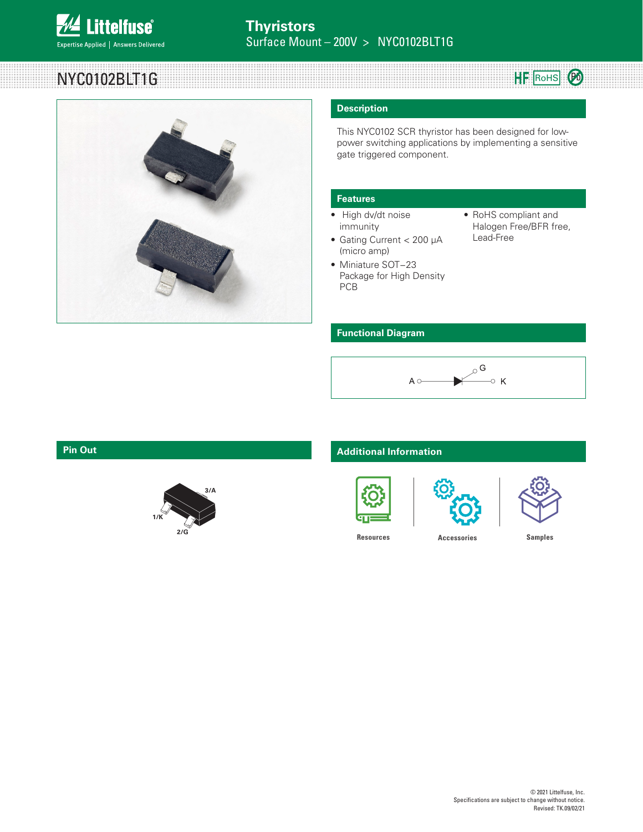

## NYC0102BLT1G



### **Description**

This NYC0102 SCR thyristor has been designed for lowpower switching applications by implementing a sensitive gate triggered component.

### **Features**

- High dv/dt noise immunity
- Gating Current < 200 µA (micro amp)
- Miniature SOT−23 Package for High Density PCB
- RoHS compliant and Halogen Free/BFR free, Lead-Free

HF ROHS **B** 

### **Functional Diagram**





### **Pin Out Additional Information**







**[Resources](https://www.littelfuse.com/products/power-semiconductors/discrete-thyristors/scr/nyc0102b.aspx#TechnicalResources) [Accessories](https://www.littelfuse.com/products/power-semiconductors/discrete-thyristors/scr/nyc0102b.aspx#) [Samples](https://www.littelfuse.com/order-sample.aspx?partNumber=NYC0102BLT1G)**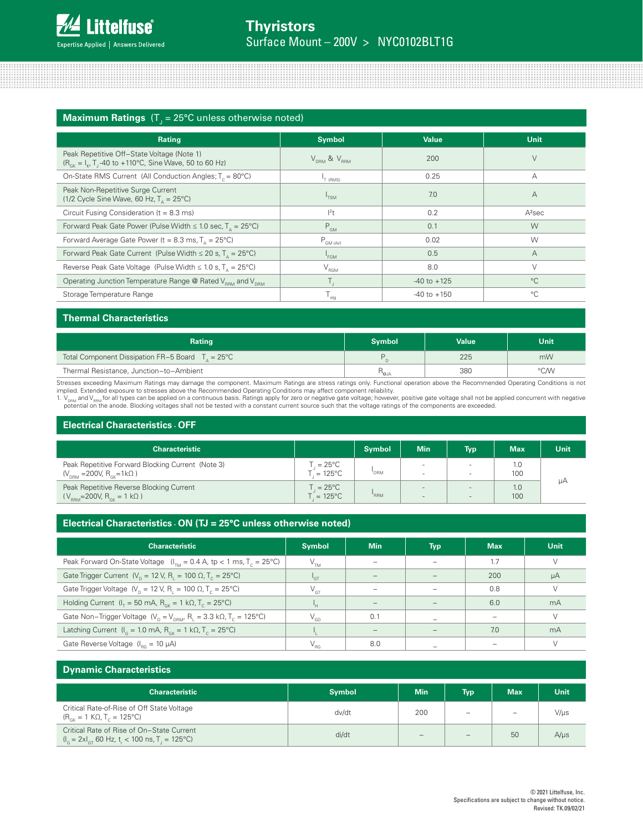| Rating                                                                                                                             | <b>Symbol</b>                       | <b>Value</b>    | <b>Unit</b>        |
|------------------------------------------------------------------------------------------------------------------------------------|-------------------------------------|-----------------|--------------------|
| Peak Repetitive Off-State Voltage (Note 1)<br>$(R_{GK} = I_K, T_J - 40 \text{ to } +110^{\circ}\text{C}$ , Sine Wave, 50 to 60 Hz) | $V_{\text{prm}}$ & $V_{\text{prm}}$ | 200             | V                  |
| On-State RMS Current (All Conduction Angles; T <sub>c</sub> = 80°C)                                                                | <sup>1</sup> T (RMS)                | 0.25            | А                  |
| Peak Non-Repetitive Surge Current<br>(1/2 Cycle Sine Wave, 60 Hz, $T_a = 25^{\circ}$ C)                                            | <sup>1</sup> TSM                    | 7.0             | $\overline{A}$     |
| Circuit Fusing Consideration ( $t = 8.3$ ms)                                                                                       | $ ^{2}$ t                           | 0.2             | A <sup>2</sup> sec |
| Forward Peak Gate Power (Pulse Width $\leq 1.0$ sec, $T_a = 25^{\circ}$ C)                                                         | $P_{GM}$                            | 0.1             | W                  |
| Forward Average Gate Power ( $t = 8.3$ ms, $T_a = 25^{\circ}$ C)                                                                   | $P_{GM (AV)}$                       | 0.02            | W                  |
| Forward Peak Gate Current (Pulse Width $\leq 20$ s, T <sub>n</sub> = 25°C)                                                         | <sup>1</sup> FGM                    | 0.5             | $\overline{A}$     |
| Reverse Peak Gate Voltage (Pulse Width $\leq 1.0$ s, $T_a = 25^{\circ}$ C)                                                         | V <sub>RCM</sub>                    | 8.0             | V                  |
| Operating Junction Temperature Range @ Rated V <sub>BBM</sub> and V <sub>DBM</sub>                                                 | Τ,                                  | $-40$ to $+125$ | $^{\circ}$ C       |
| Storage Temperature Range                                                                                                          | $\mathsf{T}_{\mathsf{stg}}$         | $-40$ to $+150$ | $^{\circ}C$        |

### **Thermal Characteristics**

| Rating                                                     | <b>Symbol</b>                   | <b>Value</b> | Unit |
|------------------------------------------------------------|---------------------------------|--------------|------|
| Total Component Dissipation FR-5 Board $Ta = 25^{\circ}$ C |                                 | 225          | mW   |
| Thermal Resistance, Junction-to-Ambient                    | $^1$ <sup>1</sup> $\Theta$ . IA | 380          | °C/W |

Stresses exceeding Maximum Ratings may damage the component. Maximum Ratings are stress ratings only. Functional operation above the Recommended Operating Conditions is not implied. Extended exposure to stresses above the Recommended Operating Conditions may affect component reliability.

1. V<sub>DRM</sub> and V<sub>RRM</sub> for all types can be applied on a continuous basis. Ratings apply for zero or negative gate voltage; however, positive gate voltage shall not be applied concurrent with negative<br>potential on the anode.

### **Electrical Characteristics - OFF**

| <b>Characteristic</b>                                                                                    |                                       | <b>Symbol</b>    | <b>Min</b> | <b>Typ</b> | <b>Max</b> | Unit |
|----------------------------------------------------------------------------------------------------------|---------------------------------------|------------------|------------|------------|------------|------|
| Peak Repetitive Forward Blocking Current (Note 3)<br>$(V_{\text{DRM}} = 200V, R_{\text{GK}} = 1k\Omega)$ | $= 25^{\circ}$ C<br>$= 125^{\circ}$ C | <sup>'</sup> DRM |            | -          | 1.0<br>100 |      |
| Peak Repetitive Reverse Blocking Current<br>$(V_{\text{BBM}} = 200V, R_{\text{GK}} = 1 \text{ k}\Omega)$ | $= 25^{\circ}$ C<br>$= 125^{\circ}$ C | RRM              |            |            | 1.0<br>100 | uА   |

### **Electrical Characteristics - ON (TJ = 25°C unless otherwise noted)**

| <b>Characteristic</b>                                                                                          | <b>Symbol</b>              | <b>Min</b> | <b>Typ</b> | <b>Max</b> | <b>Unit</b> |
|----------------------------------------------------------------------------------------------------------------|----------------------------|------------|------------|------------|-------------|
| Peak Forward On-State Voltage $(I_{TM} = 0.4 \text{ A}, \text{ tp } < 1 \text{ ms}, T_c = 25^{\circ}\text{C})$ | V <sub>TM</sub>            |            |            | 1.7        | V           |
| Gate Trigger Current ( $V_p = 12$ V, R <sub>1</sub> = 100 $\Omega$ , T <sub>c</sub> = 25°C)                    | $\mathsf{I}_{\mathsf{GT}}$ |            |            | 200        | μA          |
| Gate Trigger Voltage $(V_p = 12 V, R_i = 100 \Omega, T_c = 25^{\circ}C)$                                       | $V_{\text{GT}}$            |            |            | 0.8        | V           |
| Holding Current $(I_{\tau} = 50 \text{ mA}, R_{\tau} = 1 \text{ k}\Omega, T_{\tau} = 25^{\circ}\text{C})$      | 'н.                        |            |            | 6.0        | mA          |
| Gate Non-Trigger Voltage $(V_p = V_{pBM} R_i = 3.3 \text{ k}\Omega, T_c = 125 \text{°C})$                      | $V_{GD}$                   | 0.1        |            |            | $\vee$      |
| Latching Current ( $I_c = 1.0$ mA, $R_{cV} = 1$ k $\Omega$ , $T_c = 25^{\circ}$ C)                             |                            |            |            | 7.0        | mA          |
| Gate Reverse Voltage $(I_{BG} = 10 \mu A)$                                                                     | $V_{RG}$                   | 8.0        |            |            |             |

| <b>Dynamic Characteristics</b>                                                                |               |                              |            |            |             |  |
|-----------------------------------------------------------------------------------------------|---------------|------------------------------|------------|------------|-------------|--|
| <b>Characteristic</b>                                                                         | <b>Symbol</b> | <b>Min</b>                   | <b>Typ</b> | <b>Max</b> | <b>Unit</b> |  |
| Critical Rate-of-Rise of Off State Voltage<br>$(R_{cK} = 1 K\Omega, T_c = 125^{\circ}C)$      | dv/dt         | 200                          |            |            | $V/\mu s$   |  |
| Critical Rate of Rise of On-State Current<br>$I_c = 2xI_{cr}$ 60 Hz, t, < 100 ns, T, = 125°C) | di/dt         | $\qquad \qquad \blacksquare$ |            | 50         | $A/\mu s$   |  |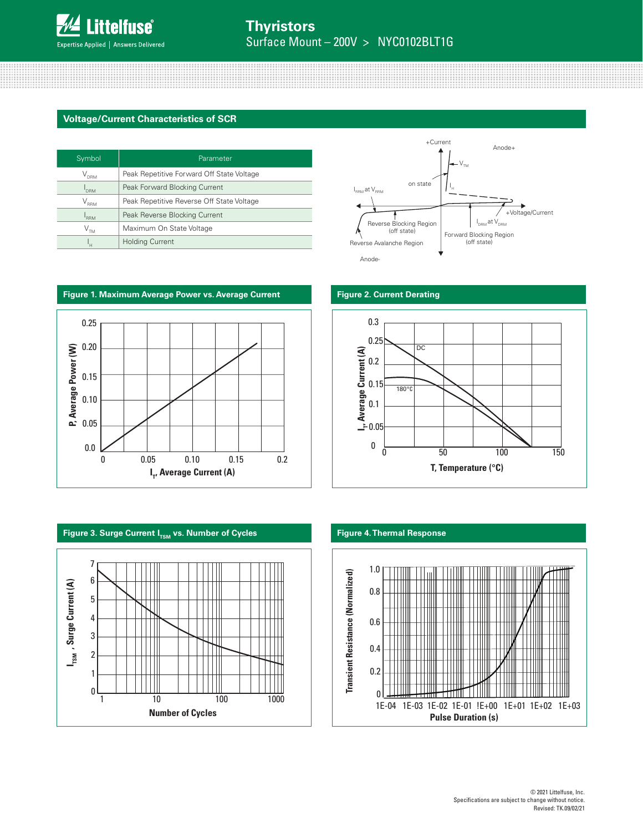

### **Voltage/Current Characteristics of SCR**

| Symbol                     | Parameter                                 |
|----------------------------|-------------------------------------------|
| $\rm V_{_{DRM}}$           | Peak Repetitive Forward Off State Voltage |
| <b>DRM</b>                 | Peak Forward Blocking Current             |
| $V_{_{\rm RRM}}$           | Peak Repetitive Reverse Off State Voltage |
| <b>RRM</b>                 | Peak Reverse Blocking Current             |
| $\mathsf{V}_{\mathsf{TM}}$ | Maximum On State Voltage                  |
|                            | <b>Holding Current</b>                    |













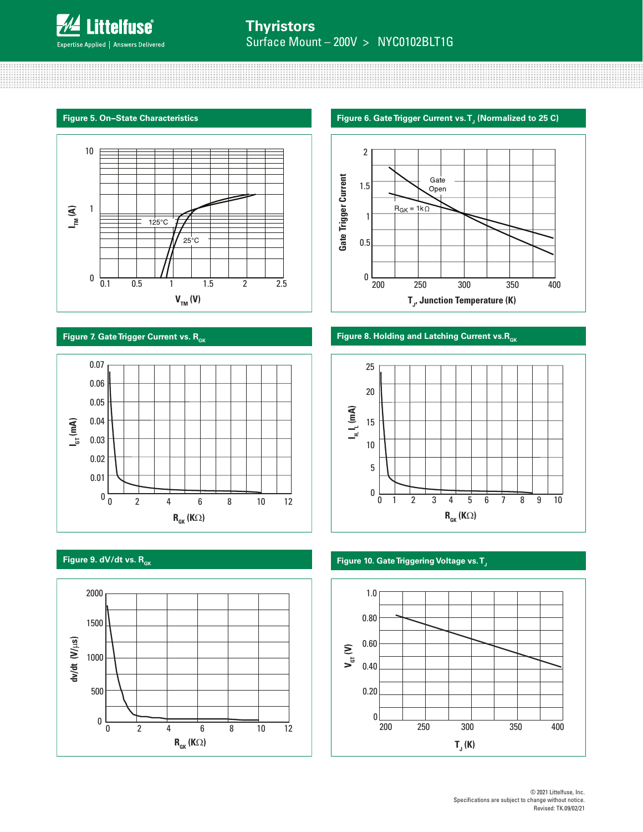







### Figure 5. On–State Characteristics Figure 6. Gate Trigger Current vs. T<sub>J</sub> (Normalized to 25 C)



### **Figure 7. Gate Trigger Current vs. R<sub>GK</sub> <b>Figure 8. Holding and Latching Current vs. R<sub>GK</sub>**



### **Figure 9. dV/dt vs. R<sub>GK</sub> CONSERVERTIES IN A SERVICE OF THE RESERVERTIES IN A SERVICE OF THE RESERVERTIES OF THE RESERVERTIES OF THE RESERVERTIES OF THE RESERVERTIES OF THE RESERVERTIES OF THE RESERVERTIES OF THE RESERVER**